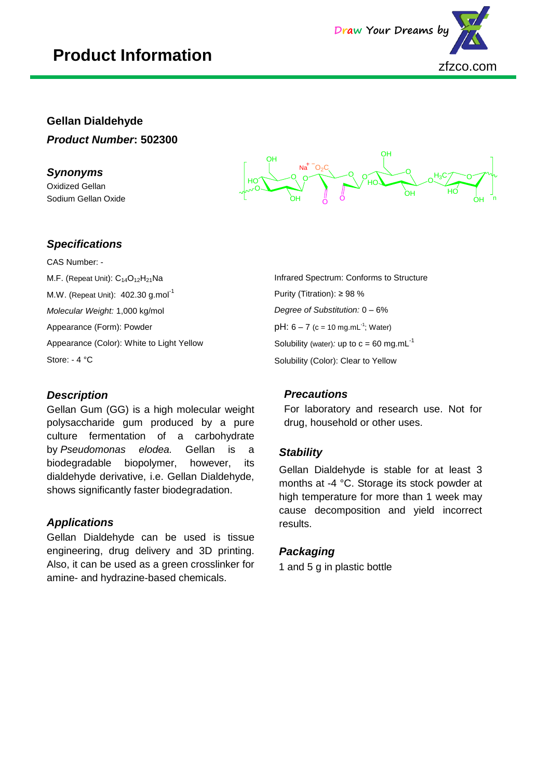## **Product Information**



### **Gellan Dialdehyde** *Product Number***: 502300**

#### *Synonyms*

j

Oxidized Gellan Sodium Gellan Oxide



#### *Specifications*

CAS Number: - M.F. (Repeat Unit): C<sub>14</sub>O<sub>12</sub>H<sub>21</sub>Na M.W. (Repeat Unit): 402.30 g.mol<sup>-1</sup> *Molecular Weight:* 1,000 kg/mol Appearance (Form): Powder Appearance (Color): White to Light Yellow Store: - 4 °C

#### *Description*

Gellan Gum (GG) is a high molecular weight polysaccharide gum produced by a pure culture fermentation of a carbohydrate by *Pseudomonas elodea.* Gellan is a biodegradable biopolymer, however, its dialdehyde derivative, i.e. Gellan Dialdehyde, shows significantly faster biodegradation.

#### *Applications*

Gellan Dialdehyde can be used is tissue engineering, drug delivery and 3D printing. Also, it can be used as a green crosslinker for amine- and hydrazine-based chemicals.

Infrared Spectrum: Conforms to Structure Purity (Titration): ≥ 98 % *Degree of Substitution:* 0 – 6%  $pH: 6 - 7$  (c = 10 mg.mL<sup>-1</sup>; Water) Solubility (water): up to  $c = 60$  mg.mL $^{-1}$ Solubility (Color): Clear to Yellow

#### *Precautions*

For laboratory and research use. Not for drug, household or other uses.

#### *Stability*

Gellan Dialdehyde is stable for at least 3 months at -4 °C. Storage its stock powder at high temperature for more than 1 week may cause decomposition and yield incorrect results.

#### *Packaging*

1 and 5 g in plastic bottle